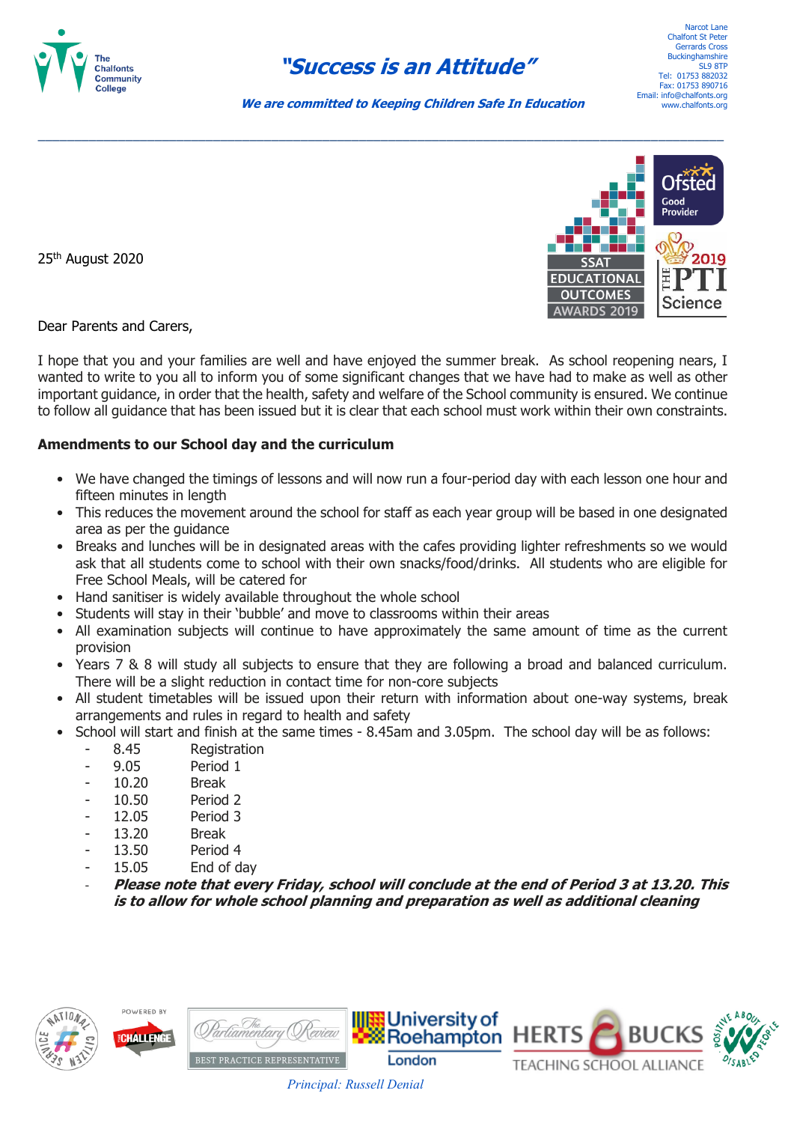

## **"Success is an Attitude"**

Narcot Lane Chalfont St Pete Gerrards Cross **Buckinghamshire** SLQ RTP Tel: 01753 882032 Fax: 01753 890716 Email: info@chalfonts.org www.chalfonts.org

 **We are committed to Keeping Children Safe In Education**

\_\_\_\_\_\_\_\_\_\_\_\_\_\_\_\_\_\_\_\_\_\_\_\_\_\_\_\_\_\_\_\_\_\_\_\_\_\_\_\_\_\_\_\_\_\_\_\_\_\_\_\_\_\_\_\_\_\_\_\_\_\_\_\_\_\_\_\_\_\_\_\_\_\_\_\_\_\_\_\_\_\_\_\_\_\_\_\_\_\_\_\_\_\_

25th August 2020



Dear Parents and Carers,

I hope that you and your families are well and have enjoyed the summer break. As school reopening nears, I wanted to write to you all to inform you of some significant changes that we have had to make as well as other important guidance, in order that the health, safety and welfare of the School community is ensured. We continue to follow all guidance that has been issued but it is clear that each school must work within their own constraints.

## **Amendments to our School day and the curriculum**

- We have changed the timings of lessons and will now run a four-period day with each lesson one hour and fifteen minutes in length
- This reduces the movement around the school for staff as each year group will be based in one designated area as per the guidance
- Breaks and lunches will be in designated areas with the cafes providing lighter refreshments so we would ask that all students come to school with their own snacks/food/drinks. All students who are eligible for Free School Meals, will be catered for
- Hand sanitiser is widely available throughout the whole school
- Students will stay in their 'bubble' and move to classrooms within their areas
- All examination subjects will continue to have approximately the same amount of time as the current provision
- Years 7 & 8 will study all subjects to ensure that they are following a broad and balanced curriculum. There will be a slight reduction in contact time for non-core subjects
- All student timetables will be issued upon their return with information about one-way systems, break arrangements and rules in regard to health and safety
- School will start and finish at the same times 8.45am and 3.05pm. The school day will be as follows:
	- 8.45 Registration
	- 9.05 Period 1
	- 10.20 Break
	- 10.50 Period 2
	- 12.05 Period 3
	- 13.20 Break
	- 13.50 Period 4
	- 15.05 End of day
	- **Please note that every Friday, school will conclude at the end of Period 3 at 13.20. This is to allow for whole school planning and preparation as well as additional cleaning**

 *Principal: Russell Denial*